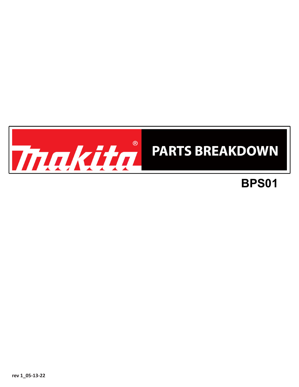

## **BPS01**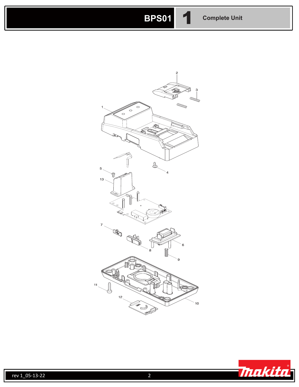## **BPS01** 1 **Complete Unit**